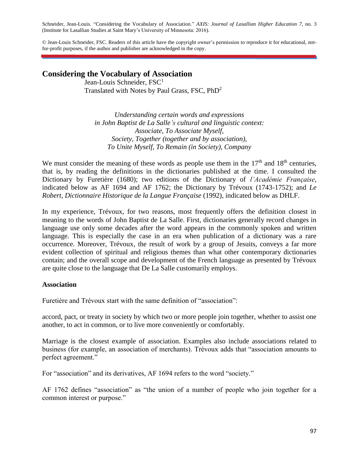Schneider, Jean-Louis. "Considering the Vocabulary of Association." *AXIS: Journal of Lasallian Higher Education 7*, no. 3 (Institute for Lasallian Studies at Saint Mary's University of Minnesota: 2016).

© Jean-Louis Schneider, FSC. Readers of this article have the copyright owner's permission to reproduce it for educational, notfor-profit purposes, if the author and publisher are acknowledged in the copy.

# **Considering the Vocabulary of Association**

Jean-Louis Schneider, FSC<sup>1</sup> Translated with Notes by Paul Grass, FSC, PhD<sup>2</sup>

*Understanding certain words and expressions in John Baptist de La Salle's cultural and linguistic context: Associate, To Associate Myself, Society, Together (together and by association), To Unite Myself, To Remain (in Society), Company*

We must consider the meaning of these words as people use them in the  $17<sup>th</sup>$  and  $18<sup>th</sup>$  centuries, that is, by reading the definitions in the dictionaries published at the time. I consulted the Dictionary by Furetière (1680); two editions of the Dictionary of *l'Académie Française*, indicated below as AF 1694 and AF 1762; the Dictionary by Trévoux (1743-1752); and *Le Robert, Dictionnaire Historique de la Langue Française* (1992), indicated below as DHLF.

In my experience, Trévoux, for two reasons, most frequently offers the definition closest in meaning to the words of John Baptist de La Salle. First, dictionaries generally record changes in language use only some decades after the word appears in the commonly spoken and written language. This is especially the case in an era when publication of a dictionary was a rare occurrence. Moreover, Trévoux, the result of work by a group of Jesuits, conveys a far more evident collection of spiritual and religious themes than what other contemporary dictionaries contain; and the overall scope and development of the French language as presented by Trévoux are quite close to the language that De La Salle customarily employs.

#### **Association**

Furetière and Trévoux start with the same definition of "association":

accord, pact, or treaty in society by which two or more people join together, whether to assist one another, to act in common, or to live more conveniently or comfortably.

Marriage is the closest example of association. Examples also include associations related to business (for example, an association of merchants). Trévoux adds that "association amounts to perfect agreement."

For "association" and its derivatives, AF 1694 refers to the word "society."

AF 1762 defines "association" as "the union of a number of people who join together for a common interest or purpose."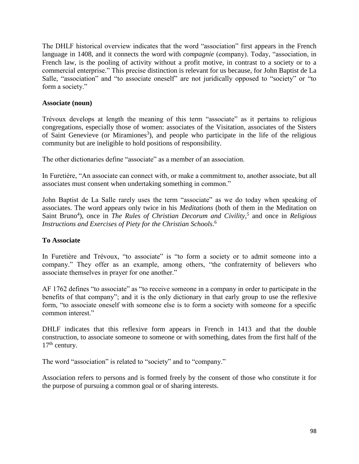The DHLF historical overview indicates that the word "association" first appears in the French language in 1408, and it connects the word with *compagnie* (company). Today, "association, in French law, is the pooling of activity without a profit motive, in contrast to a society or to a commercial enterprise." This precise distinction is relevant for us because, for John Baptist de La Salle, "association" and "to associate oneself" are not juridically opposed to "society" or "to form a society."

#### **Associate (noun)**

Trévoux develops at length the meaning of this term "associate" as it pertains to religious congregations, especially those of women: associates of the Visitation, associates of the Sisters of Saint Genevieve (or Miramiones<sup>3</sup>), and people who participate in the life of the religious community but are ineligible to hold positions of responsibility.

The other dictionaries define "associate" as a member of an association.

In Furetière, "An associate can connect with, or make a commitment to, another associate, but all associates must consent when undertaking something in common."

John Baptist de La Salle rarely uses the term "associate" as we do today when speaking of associates. The word appears only twice in his *Meditations* (both of them in the Meditation on Saint Bruno<sup>4</sup>), once in *The Rules of Christian Decorum and Civility*,<sup>5</sup> and once in *Religious Instructions and Exercises of Piety for the Christian Schools*. 6

#### **To Associate**

In Furetière and Trévoux, "to associate" is "to form a society or to admit someone into a company." They offer as an example, among others, "the confraternity of believers who associate themselves in prayer for one another."

AF 1762 defines "to associate" as "to receive someone in a company in order to participate in the benefits of that company"; and it is the only dictionary in that early group to use the reflexive form, "to associate oneself with someone else is to form a society with someone for a specific common interest."

DHLF indicates that this reflexive form appears in French in 1413 and that the double construction, to associate someone to someone or with something, dates from the first half of the  $17<sup>th</sup>$  century.

The word "association" is related to "society" and to "company."

Association refers to persons and is formed freely by the consent of those who constitute it for the purpose of pursuing a common goal or of sharing interests.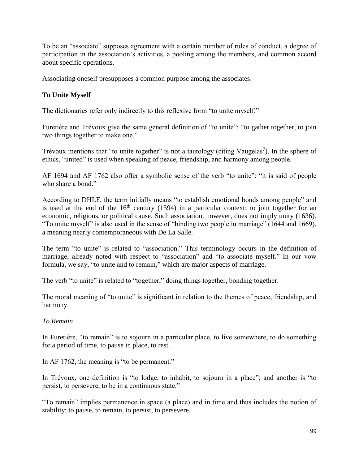To be an "associate" supposes agreement with a certain number of rules of conduct, a degree of participation in the association's activities, a pooling among the members, and common accord about specific operations.

Associating oneself presupposes a common purpose among the associates.

# **To Unite Myself**

The dictionaries refer only indirectly to this reflexive form "to unite myself."

Furetière and Trévoux give the same general definition of "to unite": "to gather together, to join two things together to make one."

Trévoux mentions that "to unite together" is not a tautology (citing Vaugelas<sup>7</sup>). In the sphere of ethics, "united" is used when speaking of peace, friendship, and harmony among people.

AF 1694 and AF 1762 also offer a symbolic sense of the verb "to unite": "it is said of people who share a bond."

According to DHLF, the term initially means "to establish emotional bonds among people" and is used at the end of the  $16<sup>th</sup>$  century (1594) in a particular context: to join together for an economic, religious, or political cause. Such association, however, does not imply unity (1636). "To unite myself" is also used in the sense of "binding two people in marriage" (1644 and 1669), a meaning nearly contemporaneous with De La Salle.

The term "to unite" is related to "association." This terminology occurs in the definition of marriage, already noted with respect to "association" and "to associate myself." In our vow formula, we say, "to unite and to remain," which are major aspects of marriage.

The verb "to unite" is related to "together," doing things together, bonding together.

The moral meaning of "to unite" is significant in relation to the themes of peace, friendship, and harmony.

# *To Remain*

In Furetière, "to remain" is to sojourn in a particular place, to live somewhere, to do something for a period of time, to pause in place, to rest.

In AF 1762, the meaning is "to be permanent."

In Trévoux, one definition is "to lodge, to inhabit, to sojourn in a place"; and another is "to persist, to persevere, to be in a continuous state."

"To remain" implies permanence in space (a place) and in time and thus includes the notion of stability: to pause, to remain, to persist, to persevere.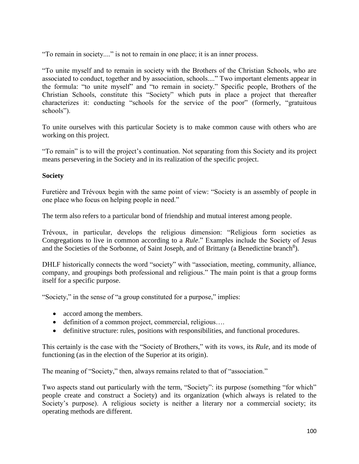"To remain in society...." is not to remain in one place; it is an inner process.

"To unite myself and to remain in society with the Brothers of the Christian Schools, who are associated to conduct, together and by association, schools...." Two important elements appear in the formula: "to unite myself" and "to remain in society." Specific people, Brothers of the Christian Schools, constitute this "Society" which puts in place a project that thereafter characterizes it: conducting "schools for the service of the poor" (formerly, "gratuitous schools").

To unite ourselves with this particular Society is to make common cause with others who are working on this project.

"To remain" is to will the project's continuation. Not separating from this Society and its project means persevering in the Society and in its realization of the specific project.

#### **Society**

Furetière and Trévoux begin with the same point of view: "Society is an assembly of people in one place who focus on helping people in need."

The term also refers to a particular bond of friendship and mutual interest among people.

Trévoux, in particular, develops the religious dimension: "Religious form societies as Congregations to live in common according to a *Rule*." Examples include the Society of Jesus and the Societies of the Sorbonne, of Saint Joseph, and of Brittany (a Benedictine branch<sup>8</sup>).

DHLF historically connects the word "society" with "association, meeting, community, alliance, company, and groupings both professional and religious." The main point is that a group forms itself for a specific purpose.

"Society," in the sense of "a group constituted for a purpose," implies:

- accord among the members.
- definition of a common project, commercial, religious….
- definitive structure: rules, positions with responsibilities, and functional procedures.

This certainly is the case with the "Society of Brothers," with its vows, its *Rule*, and its mode of functioning (as in the election of the Superior at its origin).

The meaning of "Society," then, always remains related to that of "association."

Two aspects stand out particularly with the term, "Society": its purpose (something "for which" people create and construct a Society) and its organization (which always is related to the Society's purpose). A religious society is neither a literary nor a commercial society; its operating methods are different.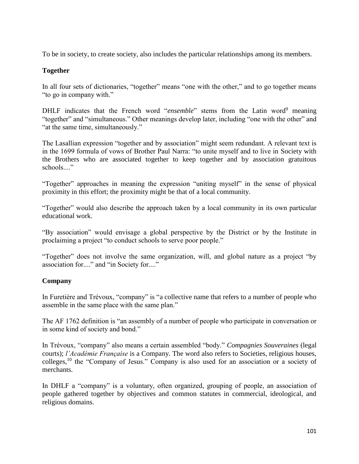To be in society, to create society, also includes the particular relationships among its members.

### **Together**

In all four sets of dictionaries, "together" means "one with the other," and to go together means "to go in company with."

DHLF indicates that the French word "*ensemble*" stems from the Latin word<sup>9</sup> meaning "together" and "simultaneous." Other meanings develop later, including "one with the other" and "at the same time, simultaneously."

The Lasallian expression "together and by association" might seem redundant. A relevant text is in the 1699 formula of vows of Brother Paul Narra: "to unite myself and to live in Society with the Brothers who are associated together to keep together and by association gratuitous schools...."

"Together" approaches in meaning the expression "uniting myself" in the sense of physical proximity in this effort; the proximity might be that of a local community.

"Together" would also describe the approach taken by a local community in its own particular educational work.

"By association" would envisage a global perspective by the District or by the Institute in proclaiming a project "to conduct schools to serve poor people."

"Together" does not involve the same organization, will, and global nature as a project "by association for...." and "in Society for...."

### **Company**

In Furetière and Trévoux, "company" is "a collective name that refers to a number of people who assemble in the same place with the same plan."

The AF 1762 definition is "an assembly of a number of people who participate in conversation or in some kind of society and bond."

In Trévoux, "company" also means a certain assembled "body." *Compagnies Souveraines* (legal courts); *l'Académie Française* is a Company. The word also refers to Societies, religious houses, colleges,<sup>10</sup> the "Company of Jesus." Company is also used for an association or a society of merchants.

In DHLF a "company" is a voluntary, often organized, grouping of people, an association of people gathered together by objectives and common statutes in commercial, ideological, and religious domains.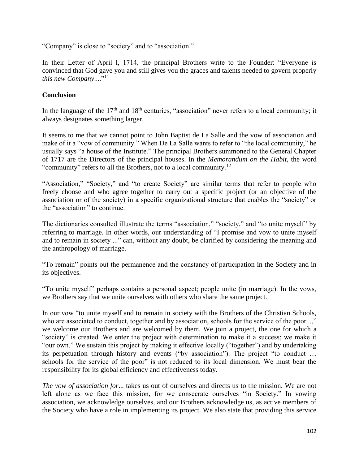"Company" is close to "society" and to "association."

In their Letter of April l, 1714, the principal Brothers write to the Founder: "Everyone is convinced that God gave you and still gives you the graces and talents needed to govern properly *this new Company....*"<sup>11</sup>

## **Conclusion**

In the language of the  $17<sup>th</sup>$  and  $18<sup>th</sup>$  centuries, "association" never refers to a local community; it always designates something larger.

It seems to me that we cannot point to John Baptist de La Salle and the vow of association and make of it a "vow of community." When De La Salle wants to refer to "the local community," he usually says "a house of the Institute." The principal Brothers summoned to the General Chapter of 1717 are the Directors of the principal houses. In the *Memorandum on the Habit*, the word "community" refers to all the Brothers, not to a local community.<sup>12</sup>

"Association," "Society," and "to create Society" are similar terms that refer to people who freely choose and who agree together to carry out a specific project (or an objective of the association or of the society) in a specific organizational structure that enables the "society" or the "association" to continue.

The dictionaries consulted illustrate the terms "association," "society," and "to unite myself" by referring to marriage. In other words, our understanding of "I promise and vow to unite myself and to remain in society ..." can, without any doubt, be clarified by considering the meaning and the anthropology of marriage.

"To remain" points out the permanence and the constancy of participation in the Society and in its objectives.

"To unite myself" perhaps contains a personal aspect; people unite (in marriage). In the vows, we Brothers say that we unite ourselves with others who share the same project.

In our vow "to unite myself and to remain in society with the Brothers of the Christian Schools, who are associated to conduct, together and by association, schools for the service of the poor...," we welcome our Brothers and are welcomed by them. We join a project, the one for which a "society" is created. We enter the project with determination to make it a success; we make it "our own." We sustain this project by making it effective locally ("together") and by undertaking its perpetuation through history and events ("by association"). The project "to conduct … schools for the service of the poor" is not reduced to its local dimension. We must bear the responsibility for its global efficiency and effectiveness today.

*The vow of association for*... takes us out of ourselves and directs us to the mission. We are not left alone as we face this mission, for we consecrate ourselves "in Society." In vowing association, we acknowledge ourselves, and our Brothers acknowledge us, as active members of the Society who have a role in implementing its project. We also state that providing this service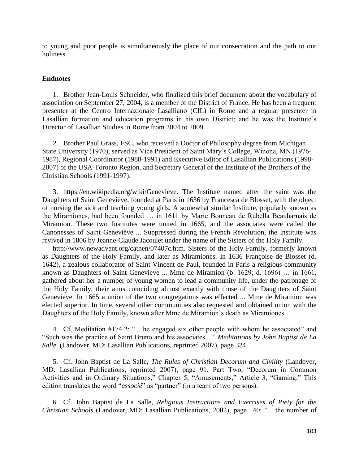to young and poor people is simultaneously the place of our consecration and the path to our holiness.

#### **Endnotes**

1. Brother Jean-Louis Schneider, who finalized this brief document about the vocabulary of association on September 27, 2004, is a member of the District of France. He has been a frequent presenter at the Centro Internazionale Lasalliano (CIL) in Rome and a regular presenter in Lasallian formation and education programs in his own District; and he was the Institute's Director of Lasallian Studies in Rome from 2004 to 2009.

2. Brother Paul Grass, FSC, who received a Doctor of Philosophy degree from Michigan State University (1970), served as Vice President of Saint Mary's College, Winona, MN (1976- 1987), Regional Coordinator (1988-1991) and Executive Editor of Lasallian Publications (1998- 2007) of the USA-Toronto Region, and Secretary General of the Institute of the Brothers of the Christian Schools (1991-1997).

3. https://en.wikipedia.org/wiki/Genevieve. The Institute named after the saint was the Daughters of Saint Geneviève, founded at Paris in 1636 by Francesca de Blosset, with the object of nursing the sick and teaching young girls. A somewhat similar Institute, popularly known as the Miramiones, had been founded … in 1611 by Marie Bonneau de Rubella Beauharnais de Miramion. These two Institutes were united in 1665, and the associates were called the Canonesses of Saint Geneviève ... Suppressed during the French Revolution, the Institute was revived in 1806 by Jeanne-Claude Jacoulet under the name of the Sisters of the Holy Family.

http://www.newadvent.org/cathen/07407c.htm. Sisters of the Holy Family, formerly known as Daughters of the Holy Family, and later as Miramiones. In 1636 Françoise de Blosset (d. 1642), a zealous collaborator of Saint Vincent de Paul, founded in Paris a religious community known as Daughters of Saint Genevieve ... Mme de Miramion (b. 1629; d. 1696) … in 1661, gathered about her a number of young women to lead a community life, under the patronage of the Holy Family, their aims coinciding almost exactly with those of the Daughters of Saint Genevieve. In 1665 a union of the two congregations was effected ... Mme de Miramion was elected superior. In time, several other communities also requested and obtained union with the Daughters of the Holy Family, known after Mme de Miramion's death as Miramiones.

4. Cf. Meditation #174.2: "... he engaged six other people with whom he associated" and "Such was the practice of Saint Bruno and his associates...." *Meditations by John Baptist de La Salle* (Landover, MD: Lasallian Publications, reprinted 2007), page 324.

5. Cf. John Baptist de La Salle, *The Rules of Christian Decorum and Civility* (Landover, MD: Lasallian Publications, reprinted 2007), page 91. Part Two, "Decorum in Common Activities and in Ordinary Situations," Chapter 5, "Amusements," Article 3, "Gaming." This edition translates the word "*associé*" as "partner" (in a team of two persons).

6. Cf. John Baptist de La Salle, *Religious Instructions and Exercises of Piety for the Christian Schools* (Landover, MD: Lasallian Publications, 2002), page 140: "... the number of